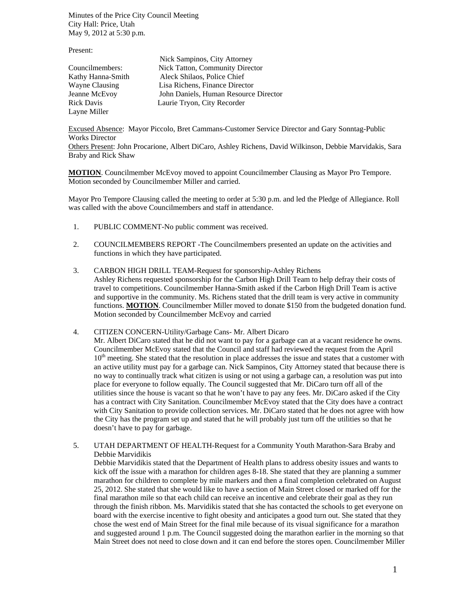Minutes of the Price City Council Meeting City Hall: Price, Utah May 9, 2012 at 5:30 p.m.

Present:

| 11000116              |                                       |
|-----------------------|---------------------------------------|
|                       | Nick Sampinos, City Attorney          |
| Councilmembers:       | Nick Tatton, Community Director       |
| Kathy Hanna-Smith     | Aleck Shilaos, Police Chief           |
| <b>Wayne Clausing</b> | Lisa Richens, Finance Director        |
| Jeanne McEvoy         | John Daniels, Human Resource Director |
| <b>Rick Davis</b>     | Laurie Tryon, City Recorder           |
| Layne Miller          |                                       |

Excused Absence: Mayor Piccolo, Bret Cammans-Customer Service Director and Gary Sonntag-Public Works Director

Others Present: John Procarione, Albert DiCaro, Ashley Richens, David Wilkinson, Debbie Marvidakis, Sara Braby and Rick Shaw

**MOTION**. Councilmember McEvoy moved to appoint Councilmember Clausing as Mayor Pro Tempore. Motion seconded by Councilmember Miller and carried.

Mayor Pro Tempore Clausing called the meeting to order at 5:30 p.m. and led the Pledge of Allegiance. Roll was called with the above Councilmembers and staff in attendance.

- 1. PUBLIC COMMENT-No public comment was received.
- 2. COUNCILMEMBERS REPORT -The Councilmembers presented an update on the activities and functions in which they have participated.
- 3. CARBON HIGH DRILL TEAM-Request for sponsorship-Ashley Richens Ashley Richens requested sponsorship for the Carbon High Drill Team to help defray their costs of travel to competitions. Councilmember Hanna-Smith asked if the Carbon High Drill Team is active and supportive in the community. Ms. Richens stated that the drill team is very active in community functions. **MOTION**. Councilmember Miller moved to donate \$150 from the budgeted donation fund. Motion seconded by Councilmember McEvoy and carried
- 4. CITIZEN CONCERN-Utility/Garbage Cans- Mr. Albert Dicaro Mr. Albert DiCaro stated that he did not want to pay for a garbage can at a vacant residence he owns. Councilmember McEvoy stated that the Council and staff had reviewed the request from the April  $10<sup>th</sup>$  meeting. She stated that the resolution in place addresses the issue and states that a customer with an active utility must pay for a garbage can. Nick Sampinos, City Attorney stated that because there is no way to continually track what citizen is using or not using a garbage can, a resolution was put into place for everyone to follow equally. The Council suggested that Mr. DiCaro turn off all of the utilities since the house is vacant so that he won't have to pay any fees. Mr. DiCaro asked if the City has a contract with City Sanitation. Councilmember McEvoy stated that the City does have a contract with City Sanitation to provide collection services. Mr. DiCaro stated that he does not agree with how the City has the program set up and stated that he will probably just turn off the utilities so that he doesn't have to pay for garbage.
- 5. UTAH DEPARTMENT OF HEALTH-Request for a Community Youth Marathon-Sara Braby and Debbie Marvidikis

Debbie Marvidikis stated that the Department of Health plans to address obesity issues and wants to kick off the issue with a marathon for children ages 8-18. She stated that they are planning a summer marathon for children to complete by mile markers and then a final completion celebrated on August 25, 2012. She stated that she would like to have a section of Main Street closed or marked off for the final marathon mile so that each child can receive an incentive and celebrate their goal as they run through the finish ribbon. Ms. Marvidikis stated that she has contacted the schools to get everyone on board with the exercise incentive to fight obesity and anticipates a good turn out. She stated that they chose the west end of Main Street for the final mile because of its visual significance for a marathon and suggested around 1 p.m. The Council suggested doing the marathon earlier in the morning so that Main Street does not need to close down and it can end before the stores open. Councilmember Miller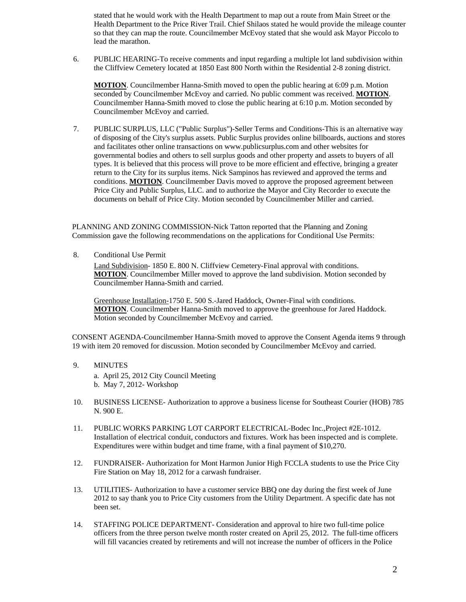stated that he would work with the Health Department to map out a route from Main Street or the Health Department to the Price River Trail. Chief Shilaos stated he would provide the mileage counter so that they can map the route. Councilmember McEvoy stated that she would ask Mayor Piccolo to lead the marathon.

6. PUBLIC HEARING-To receive comments and input regarding a multiple lot land subdivision within the Cliffview Cemetery located at 1850 East 800 North within the Residential 2-8 zoning district.

**MOTION**. Councilmember Hanna-Smith moved to open the public hearing at 6:09 p.m. Motion seconded by Councilmember McEvoy and carried. No public comment was received. **MOTION**. Councilmember Hanna-Smith moved to close the public hearing at 6:10 p.m. Motion seconded by Councilmember McEvoy and carried.

7. PUBLIC SURPLUS, LLC ("Public Surplus")-Seller Terms and Conditions-This is an alternative way of disposing of the City's surplus assets. Public Surplus provides online billboards, auctions and stores and facilitates other online transactions on www.publicsurplus.com and other websites for governmental bodies and others to sell surplus goods and other property and assets to buyers of all types. It is believed that this process will prove to be more efficient and effective, bringing a greater return to the City for its surplus items. Nick Sampinos has reviewed and approved the terms and conditions. **MOTION**. Councilmember Davis moved to approve the proposed agreement between Price City and Public Surplus, LLC. and to authorize the Mayor and City Recorder to execute the documents on behalf of Price City. Motion seconded by Councilmember Miller and carried.

PLANNING AND ZONING COMMISSION-Nick Tatton reported that the Planning and Zoning Commission gave the following recommendations on the applications for Conditional Use Permits:

8. Conditional Use Permit

Land Subdivision- 1850 E. 800 N. Cliffview Cemetery-Final approval with conditions. **MOTION**. Councilmember Miller moved to approve the land subdivision. Motion seconded by Councilmember Hanna-Smith and carried.

Greenhouse Installation-1750 E. 500 S.-Jared Haddock, Owner-Final with conditions. **MOTION**. Councilmember Hanna-Smith moved to approve the greenhouse for Jared Haddock. Motion seconded by Councilmember McEvoy and carried.

CONSENT AGENDA-Councilmember Hanna-Smith moved to approve the Consent Agenda items 9 through 19 with item 20 removed for discussion. Motion seconded by Councilmember McEvoy and carried.

9. MINUTES

a. April 25, 2012 City Council Meeting b. May 7, 2012- Workshop

- 10. BUSINESS LICENSE- Authorization to approve a business license for Southeast Courier (HOB) 785 N. 900 E.
- 11. PUBLIC WORKS PARKING LOT CARPORT ELECTRICAL-Bodec Inc.,Project #2E-1012. Installation of electrical conduit, conductors and fixtures. Work has been inspected and is complete. Expenditures were within budget and time frame, with a final payment of \$10,270.
- 12. FUNDRAISER- Authorization for Mont Harmon Junior High FCCLA students to use the Price City Fire Station on May 18, 2012 for a carwash fundraiser.
- 13. UTILITIES- Authorization to have a customer service BBQ one day during the first week of June 2012 to say thank you to Price City customers from the Utility Department. A specific date has not been set.
- 14. STAFFING POLICE DEPARTMENT- Consideration and approval to hire two full-time police officers from the three person twelve month roster created on April 25, 2012. The full-time officers will fill vacancies created by retirements and will not increase the number of officers in the Police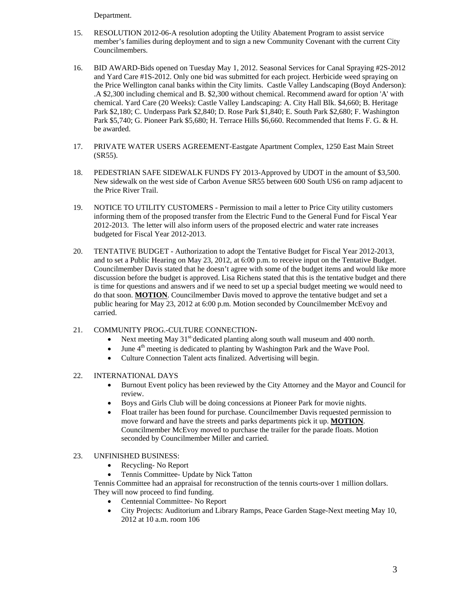Department.

- 15. RESOLUTION 2012-06-A resolution adopting the Utility Abatement Program to assist service member's families during deployment and to sign a new Community Covenant with the current City Councilmembers.
- 16. BID AWARD-Bids opened on Tuesday May 1, 2012. Seasonal Services for Canal Spraying #2S-2012 and Yard Care #1S-2012. Only one bid was submitted for each project. Herbicide weed spraying on the Price Wellington canal banks within the City limits. Castle Valley Landscaping (Boyd Anderson): .A \$2,300 including chemical and B. \$2,300 without chemical. Recommend award for option 'A' with chemical. Yard Care (20 Weeks): Castle Valley Landscaping: A. City Hall Blk. \$4,660; B. Heritage Park \$2,180; C. Underpass Park \$2,840; D. Rose Park \$1,840; E. South Park \$2,680; F. Washington Park \$5,740; G. Pioneer Park \$5,680; H. Terrace Hills \$6,660. Recommended that Items F. G. & H. be awarded.
- 17. PRIVATE WATER USERS AGREEMENT-Eastgate Apartment Complex, 1250 East Main Street (SR55).
- 18. PEDESTRIAN SAFE SIDEWALK FUNDS FY 2013-Approved by UDOT in the amount of \$3,500. New sidewalk on the west side of Carbon Avenue SR55 between 600 South US6 on ramp adjacent to the Price River Trail.
- 19. NOTICE TO UTILITY CUSTOMERS Permission to mail a letter to Price City utility customers informing them of the proposed transfer from the Electric Fund to the General Fund for Fiscal Year 2012-2013. The letter will also inform users of the proposed electric and water rate increases budgeted for Fiscal Year 2012-2013.
- 20. TENTATIVE BUDGET Authorization to adopt the Tentative Budget for Fiscal Year 2012-2013, and to set a Public Hearing on May 23, 2012, at 6:00 p.m. to receive input on the Tentative Budget. Councilmember Davis stated that he doesn't agree with some of the budget items and would like more discussion before the budget is approved. Lisa Richens stated that this is the tentative budget and there is time for questions and answers and if we need to set up a special budget meeting we would need to do that soon. **MOTION**. Councilmember Davis moved to approve the tentative budget and set a public hearing for May 23, 2012 at 6:00 p.m. Motion seconded by Councilmember McEvoy and carried.
- 21. COMMUNITY PROG.-CULTURE CONNECTION-
	- Next meeting May  $31^{st}$ -dedicated planting along south wall museum and 400 north.
	- June 4<sup>th</sup> meeting is dedicated to planting by Washington Park and the Wave Pool.
		- Culture Connection Talent acts finalized. Advertising will begin.
- 22. INTERNATIONAL DAYS
	- Burnout Event policy has been reviewed by the City Attorney and the Mayor and Council for review.
	- Boys and Girls Club will be doing concessions at Pioneer Park for movie nights.
	- Float trailer has been found for purchase. Councilmember Davis requested permission to move forward and have the streets and parks departments pick it up. **MOTION**. Councilmember McEvoy moved to purchase the trailer for the parade floats. Motion seconded by Councilmember Miller and carried.
- 23. UNFINISHED BUSINESS:
	- Recycling- No Report
	- Tennis Committee- Update by Nick Tatton

Tennis Committee had an appraisal for reconstruction of the tennis courts-over 1 million dollars. They will now proceed to find funding.

- Centennial Committee- No Report
- City Projects: Auditorium and Library Ramps, Peace Garden Stage-Next meeting May 10, 2012 at 10 a.m. room 106